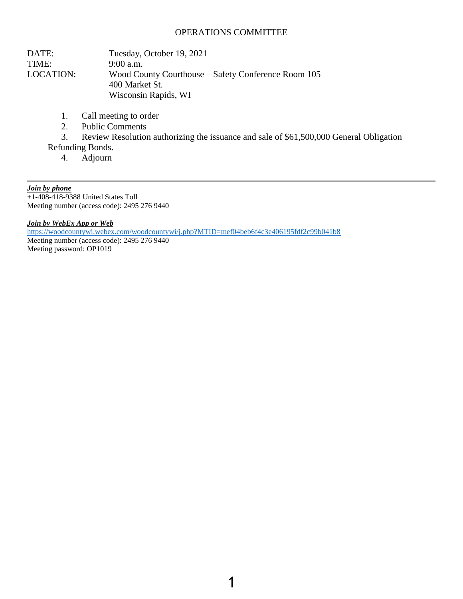#### OPERATIONS COMMITTEE

| DATE:            | Tuesday, October 19, 2021                           |
|------------------|-----------------------------------------------------|
| TIME:            | $9:00$ a.m.                                         |
| <b>LOCATION:</b> | Wood County Courthouse – Safety Conference Room 105 |
|                  | 400 Market St.                                      |
|                  | Wisconsin Rapids, WI                                |

- 1. Call meeting to order
- 2. Public Comments
- 3. Review Resolution authorizing the issuance and sale of \$61,500,000 General Obligation
- Refunding Bonds.
	- 4. Adjourn

*Join by phone*

 $+1-408-418-9388$  United States Toll Meeting number (access code): 2495 276 9440

*Join by WebEx App or Web*

<https://woodcountywi.webex.com/woodcountywi/j.php?MTID=mef04beb6f4c3e406195fdf2c99b041b8> Meeting number (access code): 2495 276 9440 Meeting password: OP1019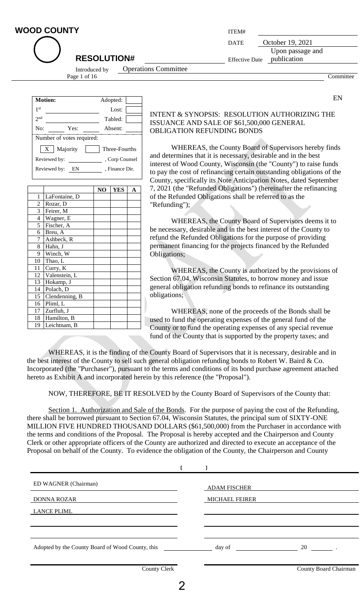| <b>WOOD COUNTY</b>                           | ITEM#                 |                                 |           |
|----------------------------------------------|-----------------------|---------------------------------|-----------|
|                                              | <b>DATE</b>           | October 19, 2021                |           |
| <b>RESOLUTION#</b>                           | <b>Effective Date</b> | Upon passage and<br>publication |           |
| <b>Operations Committee</b><br>Introduced by |                       |                                 |           |
| Page 1 of 16                                 |                       |                                 | Committee |

| <b>Motion:</b>  |                           | Adopted:       |
|-----------------|---------------------------|----------------|
| 1 <sup>st</sup> |                           | Lost:          |
| $2n$ d          |                           | Tabled:        |
| No:             | Yes:                      | Absent:        |
|                 | Number of votes required: |                |
|                 | Majority<br>$\mathbf{X}$  | Three-Fourths  |
|                 | Reviewed by:              | , Corp Counsel |
|                 | Reviewed by:<br>EN        | . Finance Dir. |

|                          |                | NO | <b>YES</b> | A |
|--------------------------|----------------|----|------------|---|
| 1                        | LaFontaine, D  |    |            |   |
| $\overline{c}$           | Rozar, D       |    |            |   |
| 3                        | Feirer, M      |    |            |   |
| $\overline{\mathcal{L}}$ | Wagner, E      |    |            |   |
| 5                        | Fischer, A     |    |            |   |
| 6                        | Breu, A        |    |            |   |
| 7                        | Ashbeck, R     |    |            |   |
| 8                        | Hahn, J        |    |            |   |
| 9                        | Winch, W       |    |            |   |
| 10                       | Thao, L        |    |            |   |
| 11                       | Curry, K       |    |            |   |
| 12                       | Valenstein, L  |    |            |   |
| 13                       | Hokamp, J      |    |            |   |
| 14                       | Polach, D      |    |            |   |
| 15                       | Clendenning, B |    |            |   |
| 16                       | Pliml, L       |    |            |   |
| 17                       | Zurfluh, J     |    |            |   |
| 18                       | Hamilton, B    |    |            |   |
| 19                       | Leichtnam, B   |    |            |   |

#### INTENT & SYNOPSIS: RESOLUTION AUTHORIZING THE ISSUANCE AND SALE OF \$61,500,000 GENERAL OBLIGATION REFUNDING BONDS

EN

WHEREAS, the County Board of Supervisors hereby finds and determines that it is necessary, desirable and in the best interest of Wood County, Wisconsin (the "County") to raise funds to pay the cost of refinancing certain outstanding obligations of the County, specifically its Note Anticipation Notes, dated September 7, 2021 (the "Refunded Obligations") (hereinafter the refinancing of the Refunded Obligations shall be referred to as the "Refunding");

WHEREAS, the County Board of Supervisors deems it to be necessary, desirable and in the best interest of the County to refund the Refunded Obligations for the purpose of providing permanent financing for the projects financed by the Refunded Obligations;

WHEREAS, the County is authorized by the provisions of Section 67.04, Wisconsin Statutes, to borrow money and issue general obligation refunding bonds to refinance its outstanding obligations;

WHEREAS, none of the proceeds of the Bonds shall be used to fund the operating expenses of the general fund of the County or to fund the operating expenses of any special revenue fund of the County that is supported by the property taxes; and

WHEREAS, it is the finding of the County Board of Supervisors that it is necessary, desirable and in the best interest of the County to sell such general obligation refunding bonds to Robert W. Baird & Co. Incorporated (the "Purchaser"), pursuant to the terms and conditions of its bond purchase agreement attached hereto as Exhibit A and incorporated herein by this reference (the "Proposal").

NOW, THEREFORE, BE IT RESOLVED by the County Board of Supervisors of the County that:

Section 1. Authorization and Sale of the Bonds. For the purpose of paying the cost of the Refunding, there shall be borrowed pursuant to Section 67.04, Wisconsin Statutes, the principal sum of SIXTY-ONE MILLION FIVE HUNDRED THOUSAND DOLLARS (\$61,500,000) from the Purchaser in accordance with the terms and conditions of the Proposal. The Proposal is hereby accepted and the Chairperson and County Clerk or other appropriate officers of the County are authorized and directed to execute an acceptance of the Proposal on behalf of the County. To evidence the obligation of the County, the Chairperson and County

| ED WAGNER (Chairman)                             | <b>ADAM FISCHER</b>   |                       |
|--------------------------------------------------|-----------------------|-----------------------|
| <b>DONNA ROZAR</b>                               | <b>MICHAEL FEIRER</b> |                       |
| <b>LANCE PLIML</b>                               |                       |                       |
|                                                  |                       |                       |
|                                                  |                       |                       |
| Adopted by the County Board of Wood County, this | day of                | 20                    |
|                                                  |                       |                       |
| <b>County Clerk</b>                              |                       | County Board Chairman |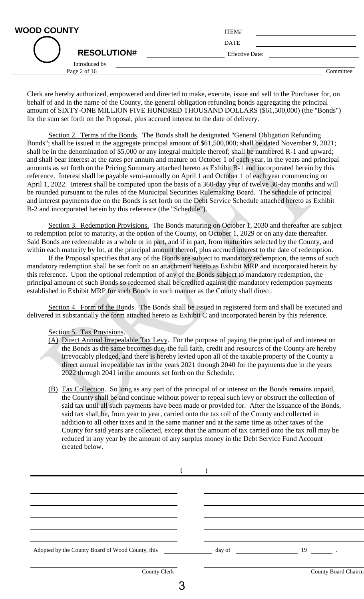| <b>WOOD COUNTY</b>            | ITEM#                  |
|-------------------------------|------------------------|
|                               | <b>DATE</b>            |
| <b>RESOLUTION#</b>            | <b>Effective Date:</b> |
| Introduced by<br>Page 2 of 16 | Committee              |

Clerk are hereby authorized, empowered and directed to make, execute, issue and sell to the Purchaser for, on behalf of and in the name of the County, the general obligation refunding bonds aggregating the principal amount of SIXTY-ONE MILLION FIVE HUNDRED THOUSAND DOLLARS (\$61,500,000) (the "Bonds") for the sum set forth on the Proposal, plus accrued interest to the date of delivery.

Section 2. Terms of the Bonds. The Bonds shall be designated "General Obligation Refunding Bonds"; shall be issued in the aggregate principal amount of \$61,500,000; shall be dated November 9, 2021; shall be in the denomination of \$5,000 or any integral multiple thereof; shall be numbered R-1 and upward; and shall bear interest at the rates per annum and mature on October 1 of each year, in the years and principal amounts as set forth on the Pricing Summary attached hereto as Exhibit B-1 and incorporated herein by this reference. Interest shall be payable semi-annually on April 1 and October 1 of each year commencing on April 1, 2022. Interest shall be computed upon the basis of a 360-day year of twelve 30-day months and will be rounded pursuant to the rules of the Municipal Securities Rulemaking Board. The schedule of principal and interest payments due on the Bonds is set forth on the Debt Service Schedule attached hereto as Exhibit B-2 and incorporated herein by this reference (the "Schedule").

Section 3. Redemption Provisions. The Bonds maturing on October 1, 2030 and thereafter are subject to redemption prior to maturity, at the option of the County, on October 1, 2029 or on any date thereafter. Said Bonds are redeemable as a whole or in part, and if in part, from maturities selected by the County, and within each maturity by lot, at the principal amount thereof, plus accrued interest to the date of redemption.

If the Proposal specifies that any of the Bonds are subject to mandatory redemption, the terms of such mandatory redemption shall be set forth on an attachment hereto as Exhibit MRP and incorporated herein by this reference. Upon the optional redemption of any of the Bonds subject to mandatory redemption, the principal amount of such Bonds so redeemed shall be credited against the mandatory redemption payments established in Exhibit MRP for such Bonds in such manner as the County shall direct.

Section 4. Form of the Bonds. The Bonds shall be issued in registered form and shall be executed and delivered in substantially the form attached hereto as Exhibit C and incorporated herein by this reference.

Section 5. Tax Provisions.

- (A) Direct Annual Irrepealable Tax Levy. For the purpose of paying the principal of and interest on the Bonds as the same becomes due, the full faith, credit and resources of the County are hereby irrevocably pledged, and there is hereby levied upon all of the taxable property of the County a direct annual irrepealable tax in the years 2021 through 2040 for the payments due in the years 2022 through 2041 in the amounts set forth on the Schedule.
- (B) Tax Collection. So long as any part of the principal of or interest on the Bonds remains unpaid, the County shall be and continue without power to repeal such levy or obstruct the collection of said tax until all such payments have been made or provided for. After the issuance of the Bonds, said tax shall be, from year to year, carried onto the tax roll of the County and collected in addition to all other taxes and in the same manner and at the same time as other taxes of the County for said years are collected, except that the amount of tax carried onto the tax roll may be reduced in any year by the amount of any surplus money in the Debt Service Fund Account created below.

| <b>County Clerk</b> |  | County Board Chairm |
|---------------------|--|---------------------|
|                     |  |                     |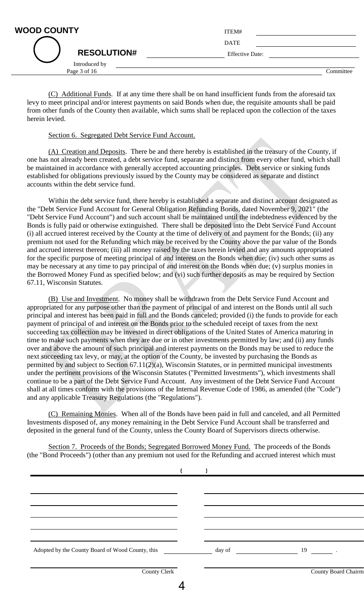| ITEM#                  |           |
|------------------------|-----------|
| <b>DATE</b>            |           |
| <b>Effective Date:</b> |           |
|                        | Committee |
|                        |           |

(C) Additional Funds. If at any time there shall be on hand insufficient funds from the aforesaid tax levy to meet principal and/or interest payments on said Bonds when due, the requisite amounts shall be paid from other funds of the County then available, which sums shall be replaced upon the collection of the taxes herein levied.

#### Section 6. Segregated Debt Service Fund Account.

(A) Creation and Deposits. There be and there hereby is established in the treasury of the County, if one has not already been created, a debt service fund, separate and distinct from every other fund, which shall be maintained in accordance with generally accepted accounting principles. Debt service or sinking funds established for obligations previously issued by the County may be considered as separate and distinct accounts within the debt service fund.

Within the debt service fund, there hereby is established a separate and distinct account designated as the "Debt Service Fund Account for General Obligation Refunding Bonds, dated November 9, 2021" (the "Debt Service Fund Account") and such account shall be maintained until the indebtedness evidenced by the Bonds is fully paid or otherwise extinguished. There shall be deposited into the Debt Service Fund Account (i) all accrued interest received by the County at the time of delivery of and payment for the Bonds; (ii) any premium not used for the Refunding which may be received by the County above the par value of the Bonds and accrued interest thereon; (iii) all money raised by the taxes herein levied and any amounts appropriated for the specific purpose of meeting principal of and interest on the Bonds when due; (iv) such other sums as may be necessary at any time to pay principal of and interest on the Bonds when due; (v) surplus monies in the Borrowed Money Fund as specified below; and (vi) such further deposits as may be required by Section 67.11, Wisconsin Statutes.

(B) Use and Investment. No money shall be withdrawn from the Debt Service Fund Account and appropriated for any purpose other than the payment of principal of and interest on the Bonds until all such principal and interest has been paid in full and the Bonds canceled; provided (i) the funds to provide for each payment of principal of and interest on the Bonds prior to the scheduled receipt of taxes from the next succeeding tax collection may be invested in direct obligations of the United States of America maturing in time to make such payments when they are due or in other investments permitted by law; and (ii) any funds over and above the amount of such principal and interest payments on the Bonds may be used to reduce the next succeeding tax levy, or may, at the option of the County, be invested by purchasing the Bonds as permitted by and subject to Section 67.11(2)(a), Wisconsin Statutes, or in permitted municipal investments under the pertinent provisions of the Wisconsin Statutes ("Permitted Investments"), which investments shall continue to be a part of the Debt Service Fund Account. Any investment of the Debt Service Fund Account shall at all times conform with the provisions of the Internal Revenue Code of 1986, as amended (the "Code") and any applicable Treasury Regulations (the "Regulations").

(C) Remaining Monies. When all of the Bonds have been paid in full and canceled, and all Permitted Investments disposed of, any money remaining in the Debt Service Fund Account shall be transferred and deposited in the general fund of the County, unless the County Board of Supervisors directs otherwise.

Section 7. Proceeds of the Bonds; Segregated Borrowed Money Fund. The proceeds of the Bonds (the "Bond Proceeds") (other than any premium not used for the Refunding and accrued interest which must

| Adopted by the County Board of Wood County, this | day of | $19 \qquad \qquad .$ |
|--------------------------------------------------|--------|----------------------|
| <b>County Clerk</b>                              |        | County Board Chairm  |
|                                                  |        |                      |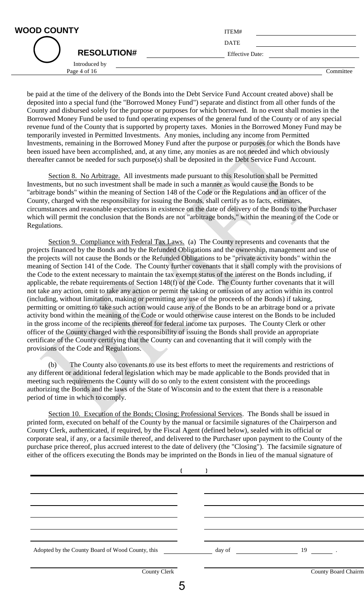| <b>WOOD COUNTY</b> |                    | ITEM#                  |
|--------------------|--------------------|------------------------|
|                    |                    | <b>DATE</b>            |
|                    | <b>RESOLUTION#</b> | <b>Effective Date:</b> |
|                    | Introduced by      |                        |

| ITEM#                  |  |
|------------------------|--|
| <b>DATE</b>            |  |
| <b>Effective Date:</b> |  |
|                        |  |

Page 4 of 16 Committee

be paid at the time of the delivery of the Bonds into the Debt Service Fund Account created above) shall be deposited into a special fund (the "Borrowed Money Fund") separate and distinct from all other funds of the County and disbursed solely for the purpose or purposes for which borrowed. In no event shall monies in the Borrowed Money Fund be used to fund operating expenses of the general fund of the County or of any special revenue fund of the County that is supported by property taxes. Monies in the Borrowed Money Fund may be temporarily invested in Permitted Investments. Any monies, including any income from Permitted Investments, remaining in the Borrowed Money Fund after the purpose or purposes for which the Bonds have been issued have been accomplished, and, at any time, any monies as are not needed and which obviously thereafter cannot be needed for such purpose(s) shall be deposited in the Debt Service Fund Account.

Section 8. No Arbitrage. All investments made pursuant to this Resolution shall be Permitted Investments, but no such investment shall be made in such a manner as would cause the Bonds to be "arbitrage bonds" within the meaning of Section 148 of the Code or the Regulations and an officer of the County, charged with the responsibility for issuing the Bonds, shall certify as to facts, estimates, circumstances and reasonable expectations in existence on the date of delivery of the Bonds to the Purchaser which will permit the conclusion that the Bonds are not "arbitrage bonds," within the meaning of the Code or Regulations.

Section 9. Compliance with Federal Tax Laws. (a) The County represents and covenants that the projects financed by the Bonds and by the Refunded Obligations and the ownership, management and use of the projects will not cause the Bonds or the Refunded Obligations to be "private activity bonds" within the meaning of Section 141 of the Code. The County further covenants that it shall comply with the provisions of the Code to the extent necessary to maintain the tax exempt status of the interest on the Bonds including, if applicable, the rebate requirements of Section 148(f) of the Code. The County further covenants that it will not take any action, omit to take any action or permit the taking or omission of any action within its control (including, without limitation, making or permitting any use of the proceeds of the Bonds) if taking, permitting or omitting to take such action would cause any of the Bonds to be an arbitrage bond or a private activity bond within the meaning of the Code or would otherwise cause interest on the Bonds to be included in the gross income of the recipients thereof for federal income tax purposes. The County Clerk or other officer of the County charged with the responsibility of issuing the Bonds shall provide an appropriate certificate of the County certifying that the County can and covenanting that it will comply with the provisions of the Code and Regulations.

(b) The County also covenants to use its best efforts to meet the requirements and restrictions of any different or additional federal legislation which may be made applicable to the Bonds provided that in meeting such requirements the County will do so only to the extent consistent with the proceedings authorizing the Bonds and the laws of the State of Wisconsin and to the extent that there is a reasonable period of time in which to comply.

Section 10. Execution of the Bonds; Closing; Professional Services. The Bonds shall be issued in printed form, executed on behalf of the County by the manual or facsimile signatures of the Chairperson and County Clerk, authenticated, if required, by the Fiscal Agent (defined below), sealed with its official or corporate seal, if any, or a facsimile thereof, and delivered to the Purchaser upon payment to the County of the purchase price thereof, plus accrued interest to the date of delivery (the "Closing"). The facsimile signature of either of the officers executing the Bonds may be imprinted on the Bonds in lieu of the manual signature of

| <b>County Clerk</b> |  | County Board Chairm |
|---------------------|--|---------------------|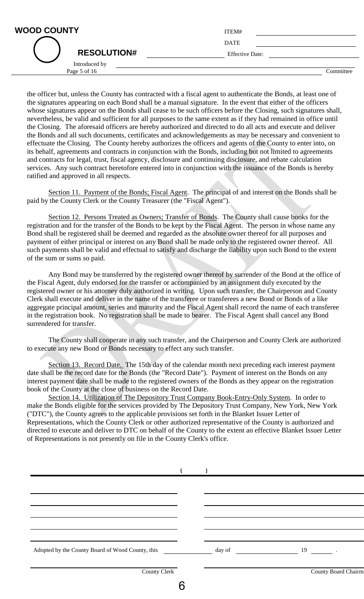| <b>WOOD COUNTY</b> |                                                                      | ITEM#                  |
|--------------------|----------------------------------------------------------------------|------------------------|
|                    |                                                                      | <b>DATE</b>            |
|                    | <b>RESOLUTION#</b>                                                   | <b>Effective Date:</b> |
|                    | Introduced by<br>$\mathbf{r}$ $\mathbf{r}$ $\mathbf{r}$ $\mathbf{r}$ |                        |

| ITEM#                  |  |
|------------------------|--|
| <b>DATE</b>            |  |
| <b>Effective Date:</b> |  |
|                        |  |

Page 5 of 16 Committee

the officer but, unless the County has contracted with a fiscal agent to authenticate the Bonds, at least one of the signatures appearing on each Bond shall be a manual signature. In the event that either of the officers whose signatures appear on the Bonds shall cease to be such officers before the Closing, such signatures shall, nevertheless, be valid and sufficient for all purposes to the same extent as if they had remained in office until the Closing. The aforesaid officers are hereby authorized and directed to do all acts and execute and deliver the Bonds and all such documents, certificates and acknowledgements as may be necessary and convenient to effectuate the Closing. The County hereby authorizes the officers and agents of the County to enter into, on its behalf, agreements and contracts in conjunction with the Bonds, including but not limited to agreements and contracts for legal, trust, fiscal agency, disclosure and continuing disclosure, and rebate calculation services. Any such contract heretofore entered into in conjunction with the issuance of the Bonds is hereby ratified and approved in all respects.

Section 11. Payment of the Bonds; Fiscal Agent. The principal of and interest on the Bonds shall be paid by the County Clerk or the County Treasurer (the "Fiscal Agent").

Section 12. Persons Treated as Owners; Transfer of Bonds. The County shall cause books for the registration and for the transfer of the Bonds to be kept by the Fiscal Agent. The person in whose name any Bond shall be registered shall be deemed and regarded as the absolute owner thereof for all purposes and payment of either principal or interest on any Bond shall be made only to the registered owner thereof. All such payments shall be valid and effectual to satisfy and discharge the liability upon such Bond to the extent of the sum or sums so paid.

Any Bond may be transferred by the registered owner thereof by surrender of the Bond at the office of the Fiscal Agent, duly endorsed for the transfer or accompanied by an assignment duly executed by the registered owner or his attorney duly authorized in writing. Upon such transfer, the Chairperson and County Clerk shall execute and deliver in the name of the transferee or transferees a new Bond or Bonds of a like aggregate principal amount, series and maturity and the Fiscal Agent shall record the name of each transferee in the registration book. No registration shall be made to bearer. The Fiscal Agent shall cancel any Bond surrendered for transfer.

The County shall cooperate in any such transfer, and the Chairperson and County Clerk are authorized to execute any new Bond or Bonds necessary to effect any such transfer.

Section 13. Record Date. The 15th day of the calendar month next preceding each interest payment date shall be the record date for the Bonds (the "Record Date"). Payment of interest on the Bonds on any interest payment date shall be made to the registered owners of the Bonds as they appear on the registration book of the County at the close of business on the Record Date.

Section 14. Utilization of The Depository Trust Company Book-Entry-Only System. In order to make the Bonds eligible for the services provided by The Depository Trust Company, New York, New York ("DTC"), the County agrees to the applicable provisions set forth in the Blanket Issuer Letter of Representations, which the County Clerk or other authorized representative of the County is authorized and directed to execute and deliver to DTC on behalf of the County to the extent an effective Blanket Issuer Letter of Representations is not presently on file in the County Clerk's office.

| <b>County Clerk</b> |  | <b>County Board Chairm</b> |
|---------------------|--|----------------------------|
|                     |  |                            |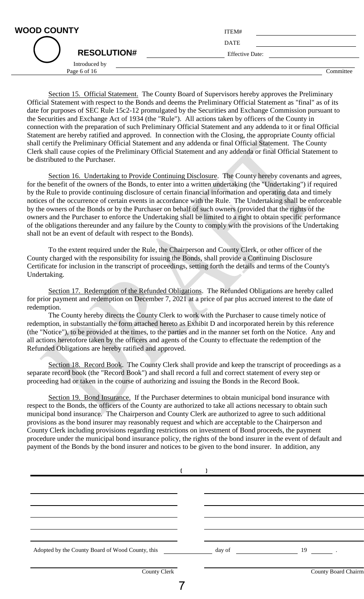| <b>WOOD COUNTY</b> |                    | ITEM#                  |
|--------------------|--------------------|------------------------|
|                    |                    | <b>DATE</b>            |
|                    | <b>RESOLUTION#</b> | <b>Effective Date:</b> |
|                    | Introduced by      |                        |

| ITEM#                  |  |  |  |
|------------------------|--|--|--|
| <b>DATE</b>            |  |  |  |
| <b>Effective Date:</b> |  |  |  |
|                        |  |  |  |

Page 6 of 16 Committee

Section 15. Official Statement. The County Board of Supervisors hereby approves the Preliminary Official Statement with respect to the Bonds and deems the Preliminary Official Statement as "final" as of its date for purposes of SEC Rule 15c2-12 promulgated by the Securities and Exchange Commission pursuant to the Securities and Exchange Act of 1934 (the "Rule"). All actions taken by officers of the County in connection with the preparation of such Preliminary Official Statement and any addenda to it or final Official Statement are hereby ratified and approved. In connection with the Closing, the appropriate County official shall certify the Preliminary Official Statement and any addenda or final Official Statement. The County Clerk shall cause copies of the Preliminary Official Statement and any addenda or final Official Statement to be distributed to the Purchaser.

Section 16. Undertaking to Provide Continuing Disclosure. The County hereby covenants and agrees, for the benefit of the owners of the Bonds, to enter into a written undertaking (the "Undertaking") if required by the Rule to provide continuing disclosure of certain financial information and operating data and timely notices of the occurrence of certain events in accordance with the Rule. The Undertaking shall be enforceable by the owners of the Bonds or by the Purchaser on behalf of such owners (provided that the rights of the owners and the Purchaser to enforce the Undertaking shall be limited to a right to obtain specific performance of the obligations thereunder and any failure by the County to comply with the provisions of the Undertaking shall not be an event of default with respect to the Bonds).

To the extent required under the Rule, the Chairperson and County Clerk, or other officer of the County charged with the responsibility for issuing the Bonds, shall provide a Continuing Disclosure Certificate for inclusion in the transcript of proceedings, setting forth the details and terms of the County's Undertaking.

Section 17. Redemption of the Refunded Obligations. The Refunded Obligations are hereby called for prior payment and redemption on December 7, 2021 at a price of par plus accrued interest to the date of redemption.

The County hereby directs the County Clerk to work with the Purchaser to cause timely notice of redemption, in substantially the form attached hereto as Exhibit D and incorporated herein by this reference (the "Notice"), to be provided at the times, to the parties and in the manner set forth on the Notice. Any and all actions heretofore taken by the officers and agents of the County to effectuate the redemption of the Refunded Obligations are hereby ratified and approved.

Section 18. Record Book. The County Clerk shall provide and keep the transcript of proceedings as a separate record book (the "Record Book") and shall record a full and correct statement of every step or proceeding had or taken in the course of authorizing and issuing the Bonds in the Record Book.

Section 19. Bond Insurance. If the Purchaser determines to obtain municipal bond insurance with respect to the Bonds, the officers of the County are authorized to take all actions necessary to obtain such municipal bond insurance. The Chairperson and County Clerk are authorized to agree to such additional provisions as the bond insurer may reasonably request and which are acceptable to the Chairperson and County Clerk including provisions regarding restrictions on investment of Bond proceeds, the payment procedure under the municipal bond insurance policy, the rights of the bond insurer in the event of default and payment of the Bonds by the bond insurer and notices to be given to the bond insurer. In addition, any

| Adopted by the County Board of Wood County, this |  | day of 19                  |  |
|--------------------------------------------------|--|----------------------------|--|
| <b>County Clerk</b>                              |  | <b>County Board Chairm</b> |  |
|                                                  |  |                            |  |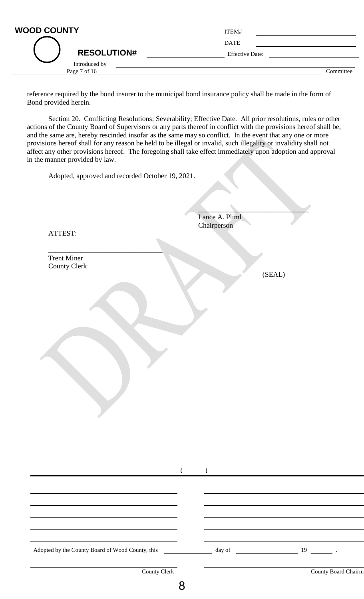| <b>WOOD COUNTY</b> | ITEM#                  |           |
|--------------------|------------------------|-----------|
|                    | <b>DATE</b>            |           |
| <b>RESOLUTION#</b> | <b>Effective Date:</b> |           |
| Introduced by      |                        |           |
| Page 7 of 16       |                        | Committee |

reference required by the bond insurer to the municipal bond insurance policy shall be made in the form of Bond provided herein.

Section 20. Conflicting Resolutions; Severability; Effective Date. All prior resolutions, rules or other actions of the County Board of Supervisors or any parts thereof in conflict with the provisions hereof shall be, and the same are, hereby rescinded insofar as the same may so conflict. In the event that any one or more provisions hereof shall for any reason be held to be illegal or invalid, such illegality or invalidity shall not affect any other provisions hereof. The foregoing shall take effect immediately upon adoption and approval in the manner provided by law.

Adopted, approved and recorded October 19, 2021.

 $\overline{\phantom{a}}$  , where  $\overline{\phantom{a}}$ 

Lance A. Pliml Chairperson

 $\mathcal{L}=\mathcal{L}=\mathcal{L}=\mathcal{L}=\mathcal{L}=\mathcal{L}=\mathcal{L}=\mathcal{L}=\mathcal{L}=\mathcal{L}=\mathcal{L}=\mathcal{L}=\mathcal{L}=\mathcal{L}=\mathcal{L}=\mathcal{L}=\mathcal{L}=\mathcal{L}=\mathcal{L}=\mathcal{L}=\mathcal{L}=\mathcal{L}=\mathcal{L}=\mathcal{L}=\mathcal{L}=\mathcal{L}=\mathcal{L}=\mathcal{L}=\mathcal{L}=\mathcal{L}=\mathcal{L}=\mathcal{L}=\mathcal{L}=\mathcal{L}=\mathcal{L}=\mathcal{L}=\mathcal{$ 

ATTEST:

Trent Miner County Clerk

(SEAL)

| Adopted by the County Board of Wood County, this |  | day of 19 and 19 and 19 and 19 and 19 and 19 and 19 and 19 and 19 and 19 and 19 and 19 and 19 and 19 and 19 and 19 and 19 and 19 and 19 and 19 and 19 and 19 and 19 and 19 and 19 and 19 and 19 and 19 and 19 and 19 and 19 an |                     |
|--------------------------------------------------|--|--------------------------------------------------------------------------------------------------------------------------------------------------------------------------------------------------------------------------------|---------------------|
|                                                  |  |                                                                                                                                                                                                                                |                     |
| County Clerk                                     |  |                                                                                                                                                                                                                                | County Board Chairm |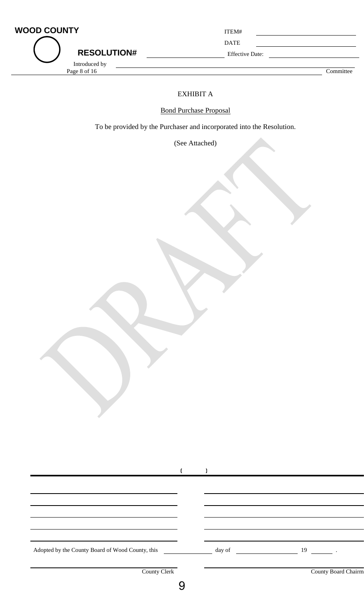| <b>WOOD COUNTY</b><br><b>RESOLUTION#</b> | ITEM#<br><b>DATE</b><br><b>Effective Date:</b> |           |
|------------------------------------------|------------------------------------------------|-----------|
| Introduced by<br>Page 8 of 16            |                                                | Committee |

# EXHIBIT A

Bond Purchase Proposal

To be provided by the Purchaser and incorporated into the Resolution.

(See Attached)

| Adopted by the County Board of Wood County, this day of day of 19 19 |  |                     |
|----------------------------------------------------------------------|--|---------------------|
| County Clerk                                                         |  | County Board Chairm |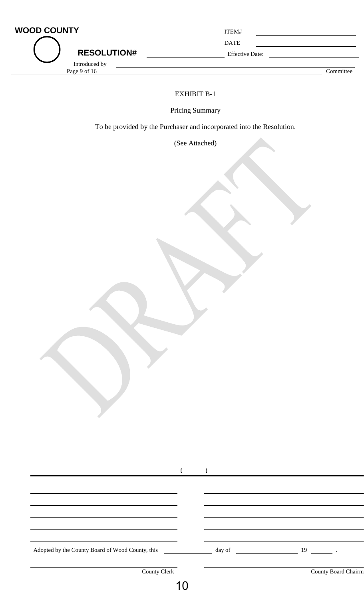| <b>WOOD COUNTY</b><br><b>RESOLUTION#</b> | ITEM#<br><b>DATE</b><br><b>Effective Date:</b> |           |
|------------------------------------------|------------------------------------------------|-----------|
| Introduced by<br>Page 9 of 16            |                                                | Committee |

## EXHIBIT B-1

Pricing Summary

To be provided by the Purchaser and incorporated into the Resolution.

(See Attached)

| Adopted by the County Board of Wood County, this | day of | 19                  |  |
|--------------------------------------------------|--------|---------------------|--|
|                                                  |        |                     |  |
| <b>County Clerk</b>                              |        | County Board Chairm |  |
|                                                  |        |                     |  |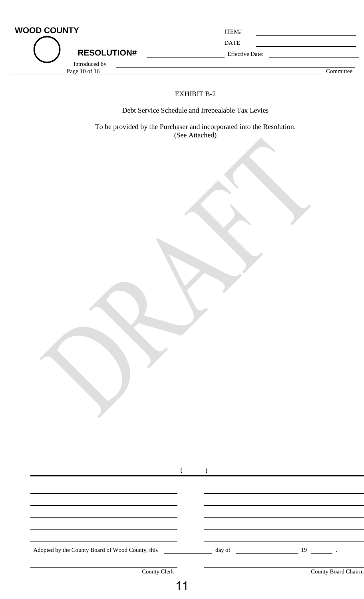| <b>WOOD COUNTY</b>               | ITEM#                  |           |
|----------------------------------|------------------------|-----------|
|                                  | <b>DATE</b>            |           |
| <b>RESOLUTION#</b>               | <b>Effective Date:</b> |           |
| Introduced by<br>Page 10 of $16$ |                        | Committee |

## EXHIBIT B-2

Debt Service Schedule and Irrepealable Tax Levies

To be provided by the Purchaser and incorporated into the Resolution. (See Attached)

| Adopted by the County Board of Wood County, this |  | $\frac{19}{2}$ day of $\frac{19}{2}$ . |
|--------------------------------------------------|--|----------------------------------------|
|                                                  |  |                                        |
| County Clerk                                     |  | County Board Chairm                    |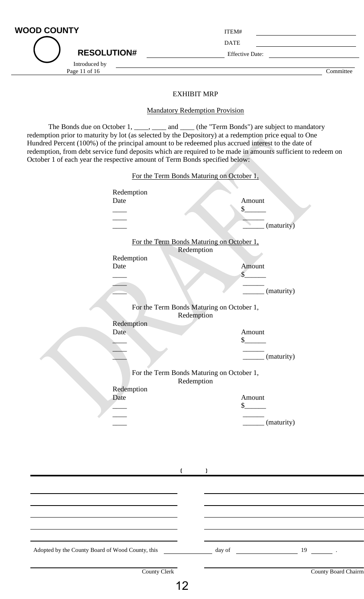| <b>WOOD COUNTY</b> | ITEM#                  |           |
|--------------------|------------------------|-----------|
|                    | <b>DATE</b>            |           |
| <b>RESOLUTION#</b> | <b>Effective Date:</b> |           |
| Introduced by      |                        |           |
| Page 11 of 16      |                        | Committee |
|                    |                        |           |
|                    | EVIIIDIT MDD           |           |

#### EXHIBIT MRP

#### Mandatory Redemption Provision

The Bonds due on October 1, \_\_\_\_, \_\_\_\_ and \_\_\_\_ (the "Term Bonds") are subject to mandatory redemption prior to maturity by lot (as selected by the Depository) at a redemption price equal to One Hundred Percent (100%) of the principal amount to be redeemed plus accrued interest to the date of redemption, from debt service fund deposits which are required to be made in amounts sufficient to redeem on October 1 of each year the respective amount of Term Bonds specified below:

For the Term Bonds Maturing on October 1,

|                                                  | I of the Term Bonds Maturing              |              | $0H$ over $1H$       |                     |
|--------------------------------------------------|-------------------------------------------|--------------|----------------------|---------------------|
| Date                                             | Redemption                                |              | Amount               |                     |
|                                                  |                                           |              | $\frac{1}{2}$        |                     |
|                                                  |                                           |              |                      |                     |
|                                                  |                                           |              | (maturity)           |                     |
|                                                  | For the Term Bonds Maturing on October 1, |              |                      |                     |
|                                                  | Redemption                                | Redemption   |                      |                     |
| Date                                             |                                           |              | Amount               |                     |
|                                                  |                                           |              | $\sqrt{\frac{2}{5}}$ |                     |
|                                                  |                                           |              | (maturity)           |                     |
|                                                  |                                           |              |                      |                     |
|                                                  | For the Term Bonds Maturing on October 1, | Redemption   |                      |                     |
|                                                  | Redemption                                |              |                      |                     |
| Date                                             |                                           |              | Amount               |                     |
|                                                  |                                           |              | $\frac{1}{2}$        |                     |
|                                                  |                                           |              | (maturity)           |                     |
|                                                  | For the Term Bonds Maturing on October 1, |              |                      |                     |
|                                                  |                                           | Redemption   |                      |                     |
| Date                                             | Redemption                                |              | Amount               |                     |
|                                                  |                                           |              | $\frac{1}{2}$        |                     |
|                                                  |                                           |              |                      |                     |
|                                                  |                                           |              | (maturity)           |                     |
|                                                  |                                           |              |                      |                     |
|                                                  |                                           |              |                      |                     |
|                                                  |                                           |              |                      |                     |
|                                                  | $\mathfrak{c}$                            | $\mathbf{I}$ |                      |                     |
|                                                  |                                           |              |                      |                     |
|                                                  |                                           |              |                      |                     |
|                                                  |                                           |              |                      |                     |
|                                                  |                                           |              |                      |                     |
|                                                  |                                           |              |                      |                     |
|                                                  |                                           |              |                      |                     |
| Adopted by the County Board of Wood County, this |                                           | day of       | $19$ .               |                     |
|                                                  |                                           |              |                      |                     |
|                                                  | <b>County Clerk</b>                       |              |                      | County Board Chairm |
|                                                  | 12                                        |              |                      |                     |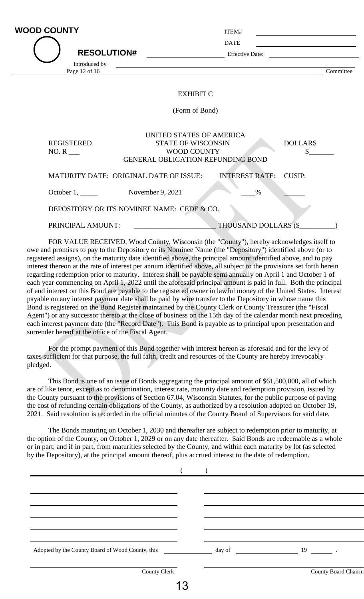| <b>WOOD COUNTY</b><br><b>RESOLUTION#</b><br>Introduced by<br>Page 12 of 16 | <u>and the state of the state of the state of the state of the state of the state of the state of the state of th</u>   | ITEM#<br><b>DATE</b><br><b>Effective Date:</b> |                      | Committee |
|----------------------------------------------------------------------------|-------------------------------------------------------------------------------------------------------------------------|------------------------------------------------|----------------------|-----------|
|                                                                            | <b>EXHIBIT C</b><br>(Form of Bond)                                                                                      |                                                |                      |           |
| <b>REGISTERED</b><br>$NO. R$ <sub>____</sub>                               | UNITED STATES OF AMERICA<br><b>STATE OF WISCONSIN</b><br><b>WOOD COUNTY</b><br><b>GENERAL OBLIGATION REFUNDING BOND</b> |                                                | <b>DOLLARS</b><br>\$ |           |
| October $1, \_\_$                                                          | MATURITY DATE: ORIGINAL DATE OF ISSUE:<br>November 9, 2021                                                              | <b>INTEREST RATE:</b><br>$\%$                  | CUSIP:               |           |

DEPOSITORY OR ITS NOMINEE NAME: CEDE & CO.

PRINCIPAL AMOUNT: \_\_\_\_\_\_\_\_\_\_\_\_\_\_\_\_\_\_\_\_\_\_\_ THOUSAND DOLLARS (\$\_\_\_\_\_\_\_\_\_\_)

FOR VALUE RECEIVED, Wood County, Wisconsin (the "County"), hereby acknowledges itself to owe and promises to pay to the Depository or its Nominee Name (the "Depository") identified above (or to registered assigns), on the maturity date identified above, the principal amount identified above, and to pay interest thereon at the rate of interest per annum identified above, all subject to the provisions set forth herein regarding redemption prior to maturity. Interest shall be payable semi annually on April 1 and October 1 of each year commencing on April 1, 2022 until the aforesaid principal amount is paid in full. Both the principal of and interest on this Bond are payable to the registered owner in lawful money of the United States. Interest payable on any interest payment date shall be paid by wire transfer to the Depository in whose name this Bond is registered on the Bond Register maintained by the County Clerk or County Treasurer (the "Fiscal Agent") or any successor thereto at the close of business on the 15th day of the calendar month next preceding each interest payment date (the "Record Date"). This Bond is payable as to principal upon presentation and surrender hereof at the office of the Fiscal Agent.

For the prompt payment of this Bond together with interest hereon as aforesaid and for the levy of taxes sufficient for that purpose, the full faith, credit and resources of the County are hereby irrevocably pledged.

This Bond is one of an issue of Bonds aggregating the principal amount of \$61,500,000, all of which are of like tenor, except as to denomination, interest rate, maturity date and redemption provision, issued by the County pursuant to the provisions of Section 67.04, Wisconsin Statutes, for the public purpose of paying the cost of refunding certain obligations of the County, as authorized by a resolution adopted on October 19, 2021. Said resolution is recorded in the official minutes of the County Board of Supervisors for said date.

The Bonds maturing on October 1, 2030 and thereafter are subject to redemption prior to maturity, at the option of the County, on October 1, 2029 or on any date thereafter. Said Bonds are redeemable as a whole or in part, and if in part, from maturities selected by the County, and within each maturity by lot (as selected by the Depository), at the principal amount thereof, plus accrued interest to the date of redemption.

| Adopted by the County Board of Wood County, this |    | day of | 19                  |  |
|--------------------------------------------------|----|--------|---------------------|--|
| <b>County Clerk</b>                              |    |        | County Board Chairm |  |
|                                                  | 13 |        |                     |  |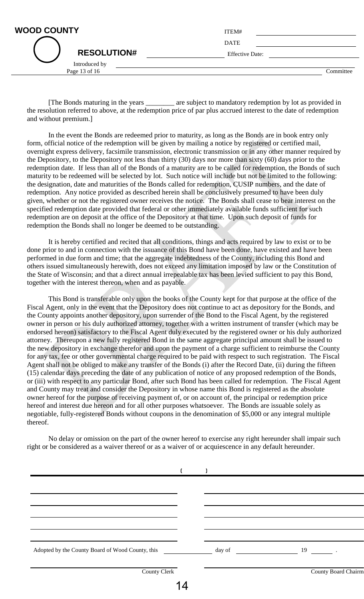|                    | <b>DATE</b>            |           |
|--------------------|------------------------|-----------|
| <b>RESOLUTION#</b> | <b>Effective Date:</b> |           |
| Introduced by      |                        |           |
| Page 13 of 16      |                        | Committee |

[The Bonds maturing in the years \_\_\_\_\_\_\_\_ are subject to mandatory redemption by lot as provided in the resolution referred to above, at the redemption price of par plus accrued interest to the date of redemption and without premium.]

In the event the Bonds are redeemed prior to maturity, as long as the Bonds are in book entry only form, official notice of the redemption will be given by mailing a notice by registered or certified mail, overnight express delivery, facsimile transmission, electronic transmission or in any other manner required by the Depository, to the Depository not less than thirty (30) days nor more than sixty (60) days prior to the redemption date. If less than all of the Bonds of a maturity are to be called for redemption, the Bonds of such maturity to be redeemed will be selected by lot. Such notice will include but not be limited to the following: the designation, date and maturities of the Bonds called for redemption, CUSIP numbers, and the date of redemption. Any notice provided as described herein shall be conclusively presumed to have been duly given, whether or not the registered owner receives the notice. The Bonds shall cease to bear interest on the specified redemption date provided that federal or other immediately available funds sufficient for such redemption are on deposit at the office of the Depository at that time. Upon such deposit of funds for redemption the Bonds shall no longer be deemed to be outstanding.

It is hereby certified and recited that all conditions, things and acts required by law to exist or to be done prior to and in connection with the issuance of this Bond have been done, have existed and have been performed in due form and time; that the aggregate indebtedness of the County, including this Bond and others issued simultaneously herewith, does not exceed any limitation imposed by law or the Constitution of the State of Wisconsin; and that a direct annual irrepealable tax has been levied sufficient to pay this Bond, together with the interest thereon, when and as payable.

This Bond is transferable only upon the books of the County kept for that purpose at the office of the Fiscal Agent, only in the event that the Depository does not continue to act as depository for the Bonds, and the County appoints another depository, upon surrender of the Bond to the Fiscal Agent, by the registered owner in person or his duly authorized attorney, together with a written instrument of transfer (which may be endorsed hereon) satisfactory to the Fiscal Agent duly executed by the registered owner or his duly authorized attorney. Thereupon a new fully registered Bond in the same aggregate principal amount shall be issued to the new depository in exchange therefor and upon the payment of a charge sufficient to reimburse the County for any tax, fee or other governmental charge required to be paid with respect to such registration. The Fiscal Agent shall not be obliged to make any transfer of the Bonds (i) after the Record Date, (ii) during the fifteen (15) calendar days preceding the date of any publication of notice of any proposed redemption of the Bonds, or (iii) with respect to any particular Bond, after such Bond has been called for redemption. The Fiscal Agent and County may treat and consider the Depository in whose name this Bond is registered as the absolute owner hereof for the purpose of receiving payment of, or on account of, the principal or redemption price hereof and interest due hereon and for all other purposes whatsoever. The Bonds are issuable solely as negotiable, fully-registered Bonds without coupons in the denomination of \$5,000 or any integral multiple thereof.

No delay or omission on the part of the owner hereof to exercise any right hereunder shall impair such right or be considered as a waiver thereof or as a waiver of or acquiescence in any default hereunder.

| Adopted by the County Board of Wood County, this day of day of 19 19 |    |                     |
|----------------------------------------------------------------------|----|---------------------|
| <b>County Clerk</b>                                                  |    | County Board Chairm |
|                                                                      | 10 |                     |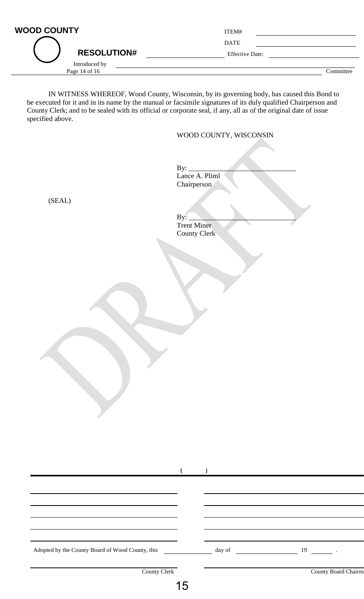| <b>WOOD COUNTY</b> | ITEM#                  |           |
|--------------------|------------------------|-----------|
|                    | <b>DATE</b>            |           |
| <b>RESOLUTION#</b> | <b>Effective Date:</b> |           |
| Introduced by      |                        |           |
| Page 14 of 16      |                        | Committee |

IN WITNESS WHEREOF, Wood County, Wisconsin, by its governing body, has caused this Bond to be executed for it and in its name by the manual or facsimile signatures of its duly qualified Chairperson and County Clerk; and to be sealed with its official or corporate seal, if any, all as of the original date of issue specified above.

#### WOOD COUNTY, WISCONSIN

By:  $\_$ Lance A. Pliml Chairperson

(SEAL)

 $By:$ Trent Miner County Clerk

| Adopted by the County Board of Wood County, this |  | day of 19 and 19    |
|--------------------------------------------------|--|---------------------|
|                                                  |  |                     |
| County Clerk                                     |  | County Board Chairm |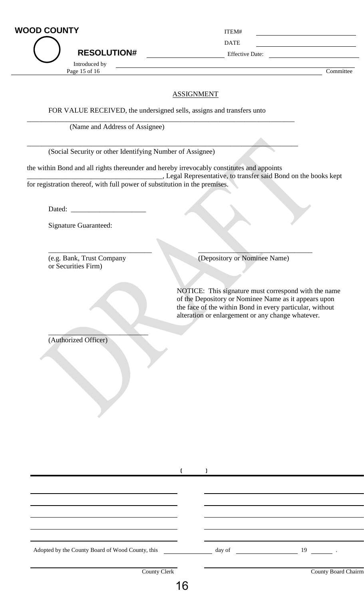| <b>WOOD COUNTY</b> | ITEM# |
|--------------------|-------|
|                    |       |

**RESOLUTION#** Effective Date:

Page 15 of 16 Committee

### ASSIGNMENT

FOR VALUE RECEIVED, the undersigned sells, assigns and transfers unto

\_\_\_\_\_\_\_\_\_\_\_\_\_\_\_\_\_\_\_\_\_\_\_\_\_\_\_\_\_\_\_\_\_\_\_\_\_\_\_\_\_\_\_\_\_\_\_\_\_\_\_\_\_\_\_\_\_\_\_\_\_\_\_\_\_\_\_\_\_\_\_\_\_\_\_

\_\_\_\_\_\_\_\_\_\_\_\_\_\_\_\_\_\_\_\_\_\_\_\_\_\_\_\_\_\_\_\_\_\_\_\_\_\_\_\_\_\_\_\_\_\_\_\_\_\_\_\_\_\_\_\_\_\_\_\_\_\_\_\_\_\_\_\_\_\_\_\_\_\_\_\_

(Name and Address of Assignee)

Introduced by

(Social Security or other Identifying Number of Assignee)

the within Bond and all rights thereunder and hereby irrevocably constitutes and appoints

\_\_\_\_\_\_\_\_\_\_\_\_\_\_\_\_\_\_\_\_\_\_\_\_\_\_\_\_\_\_\_\_\_\_\_\_\_\_, Legal Representative, to transfer said Bond on the books kept for registration thereof, with full power of substitution in the premises.

 $\frac{1}{2}$  ,  $\frac{1}{2}$  ,  $\frac{1}{2}$  ,  $\frac{1}{2}$  ,  $\frac{1}{2}$  ,  $\frac{1}{2}$  ,  $\frac{1}{2}$  ,  $\frac{1}{2}$  ,  $\frac{1}{2}$  ,  $\frac{1}{2}$  ,  $\frac{1}{2}$  ,  $\frac{1}{2}$  ,  $\frac{1}{2}$  ,  $\frac{1}{2}$  ,  $\frac{1}{2}$  ,  $\frac{1}{2}$  ,  $\frac{1}{2}$  ,  $\frac{1}{2}$  ,  $\frac{1$ 

Dated:

Signature Guaranteed:

or Securities Firm)

(e.g. Bank, Trust Company (Depository or Nominee Name)

NOTICE: This signature must correspond with the name of the Depository or Nominee Name as it appears upon the face of the within Bond in every particular, without alteration or enlargement or any change whatever.

(Authorized Officer)

 $\mathcal{L}=\mathcal{L}$ 

| <b>County Clerk</b> |    |  | County Board Chairm |
|---------------------|----|--|---------------------|
|                     | 16 |  |                     |